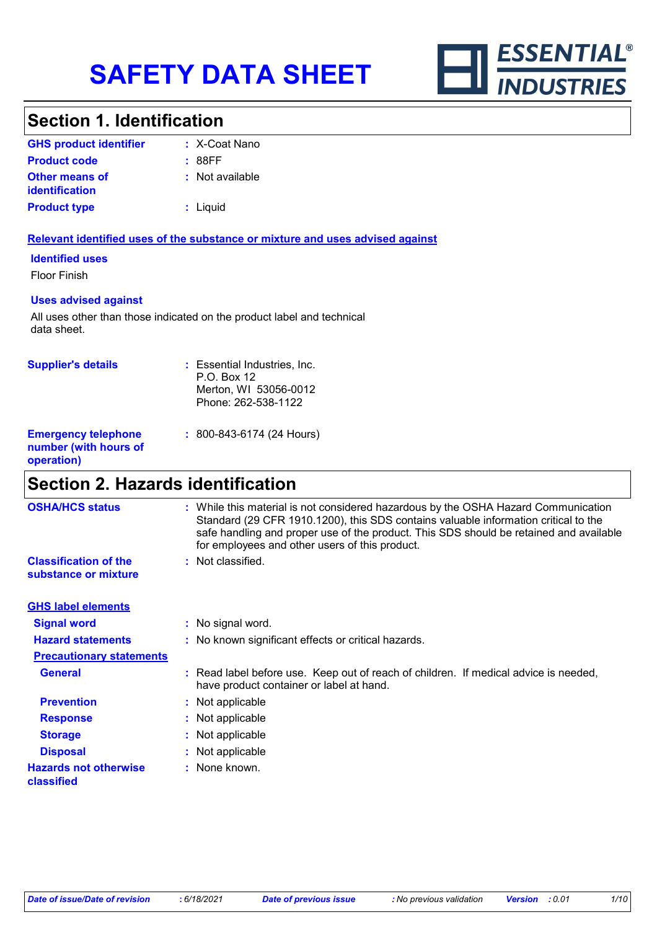

### **Section 1. Identification**

| <b>GHS product identifier</b>                  | : X-Coat Nano   |
|------------------------------------------------|-----------------|
| <b>Product code</b>                            | : 88FF          |
| <b>Other means of</b><br><i>identification</i> | : Not available |
| <b>Product type</b>                            | : Liguid        |

#### **Relevant identified uses of the substance or mixture and uses advised against**

#### **Identified uses**

Floor Finish

#### **Uses advised against**

All uses other than those indicated on the product label and technical data sheet.

| <b>Supplier's details</b>                                         | : Essential Industries, Inc.<br>P.O. Box 12<br>Merton, WI 53056-0012<br>Phone: 262-538-1122 |
|-------------------------------------------------------------------|---------------------------------------------------------------------------------------------|
| <b>Emergency telephone</b><br>number (with hours of<br>operation) | $: 800 - 843 - 6174 (24$ Hours)                                                             |

### **Section 2. Hazards identification**

| <b>OSHA/HCS status</b>                               | : While this material is not considered hazardous by the OSHA Hazard Communication<br>Standard (29 CFR 1910.1200), this SDS contains valuable information critical to the<br>safe handling and proper use of the product. This SDS should be retained and available<br>for employees and other users of this product. |
|------------------------------------------------------|-----------------------------------------------------------------------------------------------------------------------------------------------------------------------------------------------------------------------------------------------------------------------------------------------------------------------|
| <b>Classification of the</b><br>substance or mixture | : Not classified.                                                                                                                                                                                                                                                                                                     |
| <b>GHS label elements</b>                            |                                                                                                                                                                                                                                                                                                                       |
| <b>Signal word</b>                                   | : No signal word.                                                                                                                                                                                                                                                                                                     |
| <b>Hazard statements</b>                             | : No known significant effects or critical hazards.                                                                                                                                                                                                                                                                   |
| <b>Precautionary statements</b>                      |                                                                                                                                                                                                                                                                                                                       |
| <b>General</b>                                       | : Read label before use. Keep out of reach of children. If medical advice is needed,<br>have product container or label at hand.                                                                                                                                                                                      |
| <b>Prevention</b>                                    | : Not applicable                                                                                                                                                                                                                                                                                                      |
| <b>Response</b>                                      | : Not applicable                                                                                                                                                                                                                                                                                                      |
| <b>Storage</b>                                       | : Not applicable                                                                                                                                                                                                                                                                                                      |
| <b>Disposal</b>                                      | : Not applicable                                                                                                                                                                                                                                                                                                      |
| <b>Hazards not otherwise</b><br>classified           | : None known.                                                                                                                                                                                                                                                                                                         |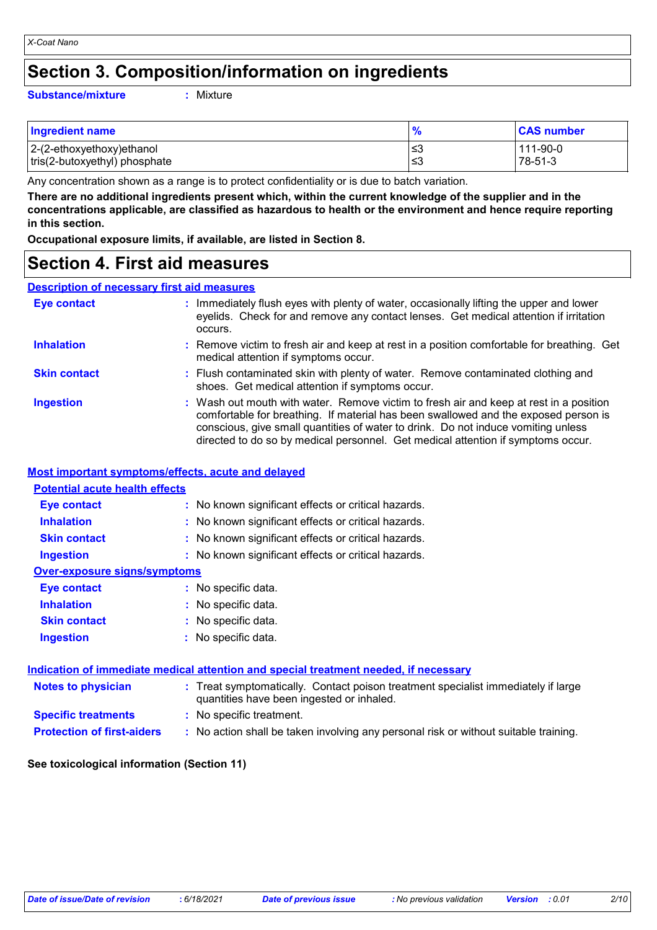### **Section 3. Composition/information on ingredients**

#### **Substance/mixture :**

Mixture

| <b>Ingredient name</b>        | $\bullet$ | <b>CAS number</b> |
|-------------------------------|-----------|-------------------|
| 2-(2-ethoxyethoxy)ethanol     | '≤3       | 111-90-0          |
| tris(2-butoxyethyl) phosphate | ∣≤3       | 78-51-3           |

Any concentration shown as a range is to protect confidentiality or is due to batch variation.

**There are no additional ingredients present which, within the current knowledge of the supplier and in the concentrations applicable, are classified as hazardous to health or the environment and hence require reporting in this section.**

**Occupational exposure limits, if available, are listed in Section 8.**

### **Section 4. First aid measures**

#### **Description of necessary first aid measures**

| <b>Eye contact</b>  | : Immediately flush eyes with plenty of water, occasionally lifting the upper and lower<br>eyelids. Check for and remove any contact lenses. Get medical attention if irritation<br>occurs.                                                                                                                                                            |
|---------------------|--------------------------------------------------------------------------------------------------------------------------------------------------------------------------------------------------------------------------------------------------------------------------------------------------------------------------------------------------------|
| <b>Inhalation</b>   | : Remove victim to fresh air and keep at rest in a position comfortable for breathing. Get<br>medical attention if symptoms occur.                                                                                                                                                                                                                     |
| <b>Skin contact</b> | : Flush contaminated skin with plenty of water. Remove contaminated clothing and<br>shoes. Get medical attention if symptoms occur.                                                                                                                                                                                                                    |
| <b>Ingestion</b>    | : Wash out mouth with water. Remove victim to fresh air and keep at rest in a position<br>comfortable for breathing. If material has been swallowed and the exposed person is<br>conscious, give small quantities of water to drink. Do not induce vomiting unless<br>directed to do so by medical personnel. Get medical attention if symptoms occur. |

#### **Most important symptoms/effects, acute and delayed**

| <b>Potential acute health effects</b> |                                                                                                                                |
|---------------------------------------|--------------------------------------------------------------------------------------------------------------------------------|
| <b>Eye contact</b>                    | : No known significant effects or critical hazards.                                                                            |
| <b>Inhalation</b>                     | : No known significant effects or critical hazards.                                                                            |
| <b>Skin contact</b>                   | : No known significant effects or critical hazards.                                                                            |
| <b>Ingestion</b>                      | : No known significant effects or critical hazards.                                                                            |
| <b>Over-exposure signs/symptoms</b>   |                                                                                                                                |
| <b>Eye contact</b>                    | : No specific data.                                                                                                            |
| <b>Inhalation</b>                     | : No specific data.                                                                                                            |
| <b>Skin contact</b>                   | : No specific data.                                                                                                            |
| <b>Ingestion</b>                      | : No specific data.                                                                                                            |
|                                       |                                                                                                                                |
|                                       | <u>Indication of immediate medical attention and special treatment needed, if necessary</u>                                    |
| <b>Notes to physician</b>             | : Treat symptomatically. Contact poison treatment specialist immediately if large<br>quantities have been ingested or inhaled. |
| <b>Specific treatments</b>            | : No specific treatment.                                                                                                       |
| <b>Protection of first-aiders</b>     | : No action shall be taken involving any personal risk or without suitable training.                                           |

#### **See toxicological information (Section 11)**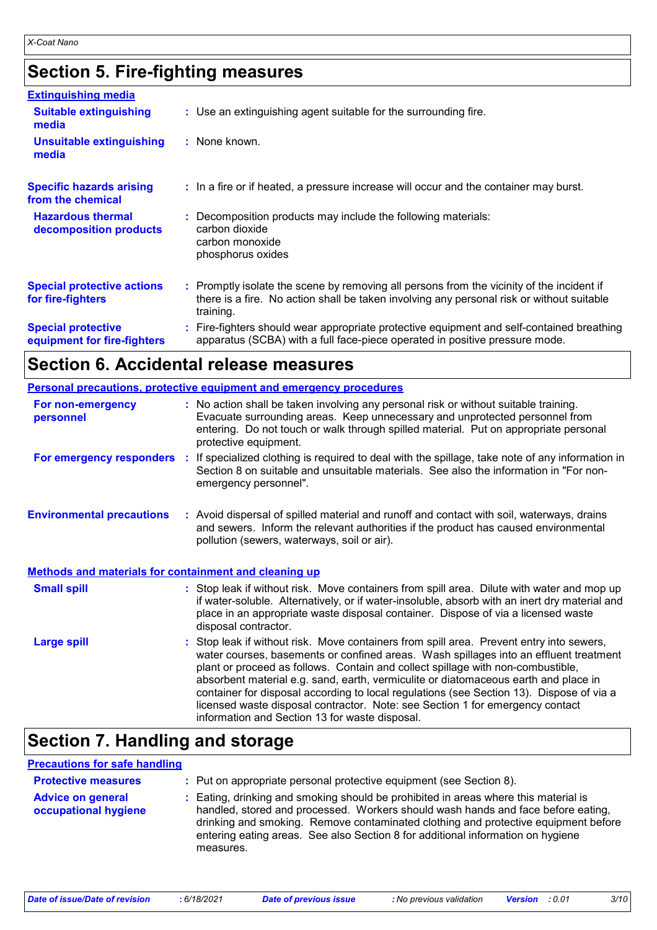# **Section 5. Fire-fighting measures**

| <b>Extinguishing media</b>                               |                                                                                                                                                                                                     |
|----------------------------------------------------------|-----------------------------------------------------------------------------------------------------------------------------------------------------------------------------------------------------|
| <b>Suitable extinguishing</b><br>media                   | : Use an extinguishing agent suitable for the surrounding fire.                                                                                                                                     |
| <b>Unsuitable extinguishing</b><br>media                 | : None known.                                                                                                                                                                                       |
| <b>Specific hazards arising</b><br>from the chemical     | : In a fire or if heated, a pressure increase will occur and the container may burst.                                                                                                               |
| <b>Hazardous thermal</b><br>decomposition products       | Decomposition products may include the following materials:<br>carbon dioxide<br>carbon monoxide<br>phosphorus oxides                                                                               |
| <b>Special protective actions</b><br>for fire-fighters   | : Promptly isolate the scene by removing all persons from the vicinity of the incident if<br>there is a fire. No action shall be taken involving any personal risk or without suitable<br>training. |
| <b>Special protective</b><br>equipment for fire-fighters | Fire-fighters should wear appropriate protective equipment and self-contained breathing<br>apparatus (SCBA) with a full face-piece operated in positive pressure mode.                              |

### **Section 6. Accidental release measures**

|                                                              | Personal precautions, protective equipment and emergency procedures                                                                                                                                                                                                                                                                                                                                                                                                                                                                                                                        |
|--------------------------------------------------------------|--------------------------------------------------------------------------------------------------------------------------------------------------------------------------------------------------------------------------------------------------------------------------------------------------------------------------------------------------------------------------------------------------------------------------------------------------------------------------------------------------------------------------------------------------------------------------------------------|
| For non-emergency<br>personnel                               | : No action shall be taken involving any personal risk or without suitable training.<br>Evacuate surrounding areas. Keep unnecessary and unprotected personnel from<br>entering. Do not touch or walk through spilled material. Put on appropriate personal<br>protective equipment.                                                                                                                                                                                                                                                                                                       |
| For emergency responders                                     | : If specialized clothing is required to deal with the spillage, take note of any information in<br>Section 8 on suitable and unsuitable materials. See also the information in "For non-<br>emergency personnel".                                                                                                                                                                                                                                                                                                                                                                         |
| <b>Environmental precautions</b>                             | : Avoid dispersal of spilled material and runoff and contact with soil, waterways, drains<br>and sewers. Inform the relevant authorities if the product has caused environmental<br>pollution (sewers, waterways, soil or air).                                                                                                                                                                                                                                                                                                                                                            |
| <b>Methods and materials for containment and cleaning up</b> |                                                                                                                                                                                                                                                                                                                                                                                                                                                                                                                                                                                            |
| <b>Small spill</b>                                           | : Stop leak if without risk. Move containers from spill area. Dilute with water and mop up<br>if water-soluble. Alternatively, or if water-insoluble, absorb with an inert dry material and<br>place in an appropriate waste disposal container. Dispose of via a licensed waste<br>disposal contractor.                                                                                                                                                                                                                                                                                   |
| <b>Large spill</b>                                           | : Stop leak if without risk. Move containers from spill area. Prevent entry into sewers,<br>water courses, basements or confined areas. Wash spillages into an effluent treatment<br>plant or proceed as follows. Contain and collect spillage with non-combustible,<br>absorbent material e.g. sand, earth, vermiculite or diatomaceous earth and place in<br>container for disposal according to local regulations (see Section 13). Dispose of via a<br>licensed waste disposal contractor. Note: see Section 1 for emergency contact<br>information and Section 13 for waste disposal. |

# **Section 7. Handling and storage**

### **Precautions for safe handling**

| <b>Protective measures</b>                       | : Put on appropriate personal protective equipment (see Section 8).                                                                                                                                                                                                                                                                                           |
|--------------------------------------------------|---------------------------------------------------------------------------------------------------------------------------------------------------------------------------------------------------------------------------------------------------------------------------------------------------------------------------------------------------------------|
| <b>Advice on general</b><br>occupational hygiene | : Eating, drinking and smoking should be prohibited in areas where this material is<br>handled, stored and processed. Workers should wash hands and face before eating,<br>drinking and smoking. Remove contaminated clothing and protective equipment before<br>entering eating areas. See also Section 8 for additional information on hygiene<br>measures. |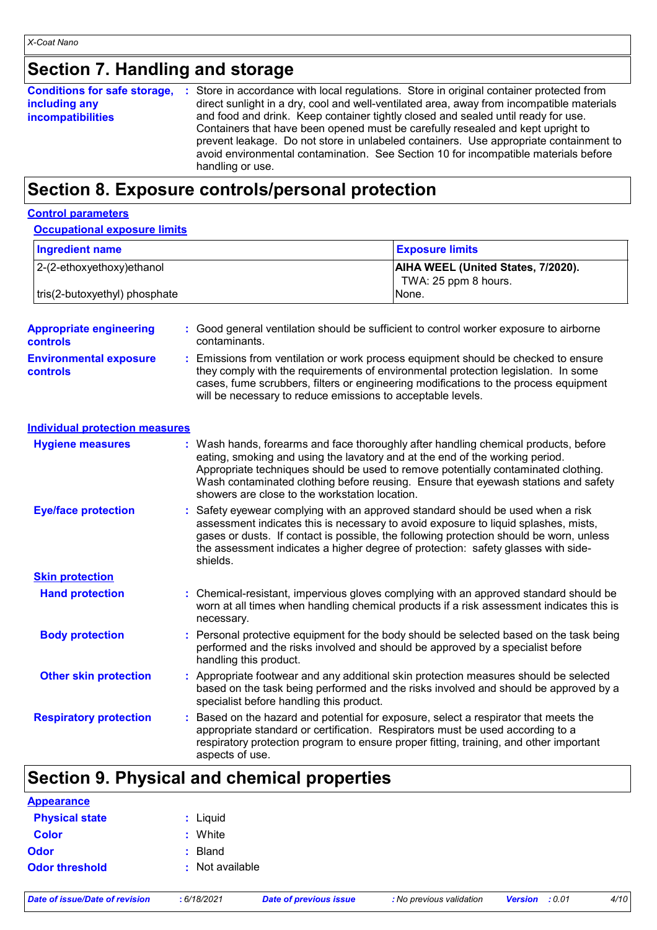# **Section 7. Handling and storage**

| <b>Conditions for safe storage,</b> | : Store in accordance with local regulations. Store in original container protected from  |
|-------------------------------------|-------------------------------------------------------------------------------------------|
| including any                       | direct sunlight in a dry, cool and well-ventilated area, away from incompatible materials |
| <b>incompatibilities</b>            | and food and drink. Keep container tightly closed and sealed until ready for use.         |
|                                     | Containers that have been opened must be carefully resealed and kept upright to           |
|                                     | prevent leakage. Do not store in unlabeled containers. Use appropriate containment to     |
|                                     | avoid environmental contamination. See Section 10 for incompatible materials before       |
|                                     | handling or use.                                                                          |

### **Section 8. Exposure controls/personal protection**

#### **Control parameters**

#### **Occupational exposure limits**

| <b>Ingredient name</b>        | <b>Exposure limits</b>                                            |
|-------------------------------|-------------------------------------------------------------------|
| 2-(2-ethoxyethoxy) ethanol    | <b>AIHA WEEL (United States, 7/2020).</b><br>TWA: 25 ppm 8 hours. |
| tris(2-butoxyethyl) phosphate | INone.                                                            |

| <b>Appropriate engineering</b><br><b>controls</b> |    | : Good general ventilation should be sufficient to control worker exposure to airborne<br>contaminants.                                                                                                                                                                                                                                                                                           |
|---------------------------------------------------|----|---------------------------------------------------------------------------------------------------------------------------------------------------------------------------------------------------------------------------------------------------------------------------------------------------------------------------------------------------------------------------------------------------|
| <b>Environmental exposure</b><br><b>controls</b>  |    | Emissions from ventilation or work process equipment should be checked to ensure<br>they comply with the requirements of environmental protection legislation. In some<br>cases, fume scrubbers, filters or engineering modifications to the process equipment<br>will be necessary to reduce emissions to acceptable levels.                                                                     |
| <b>Individual protection measures</b>             |    |                                                                                                                                                                                                                                                                                                                                                                                                   |
| <b>Hygiene measures</b>                           |    | : Wash hands, forearms and face thoroughly after handling chemical products, before<br>eating, smoking and using the lavatory and at the end of the working period.<br>Appropriate techniques should be used to remove potentially contaminated clothing.<br>Wash contaminated clothing before reusing. Ensure that eyewash stations and safety<br>showers are close to the workstation location. |
| <b>Eye/face protection</b>                        |    | Safety eyewear complying with an approved standard should be used when a risk<br>assessment indicates this is necessary to avoid exposure to liquid splashes, mists,<br>gases or dusts. If contact is possible, the following protection should be worn, unless<br>the assessment indicates a higher degree of protection: safety glasses with side-<br>shields.                                  |
| <b>Skin protection</b>                            |    |                                                                                                                                                                                                                                                                                                                                                                                                   |
| <b>Hand protection</b>                            |    | : Chemical-resistant, impervious gloves complying with an approved standard should be<br>worn at all times when handling chemical products if a risk assessment indicates this is<br>necessary.                                                                                                                                                                                                   |
| <b>Body protection</b>                            |    | Personal protective equipment for the body should be selected based on the task being<br>performed and the risks involved and should be approved by a specialist before<br>handling this product.                                                                                                                                                                                                 |
| <b>Other skin protection</b>                      |    | : Appropriate footwear and any additional skin protection measures should be selected<br>based on the task being performed and the risks involved and should be approved by a<br>specialist before handling this product.                                                                                                                                                                         |
| <b>Respiratory protection</b>                     | ÷. | Based on the hazard and potential for exposure, select a respirator that meets the<br>appropriate standard or certification. Respirators must be used according to a<br>respiratory protection program to ensure proper fitting, training, and other important<br>aspects of use.                                                                                                                 |

# **Section 9. Physical and chemical properties**

| <b>Appearance</b>     |                 |
|-----------------------|-----------------|
| <b>Physical state</b> | : Liquid        |
| <b>Color</b>          | : White         |
| <b>Odor</b>           | : Bland         |
| <b>Odor threshold</b> | : Not available |
|                       |                 |

*Date of issue/Date of revision* **:** *6/18/2021 Date of previous issue : No previous validation Version : 0.01 4/10*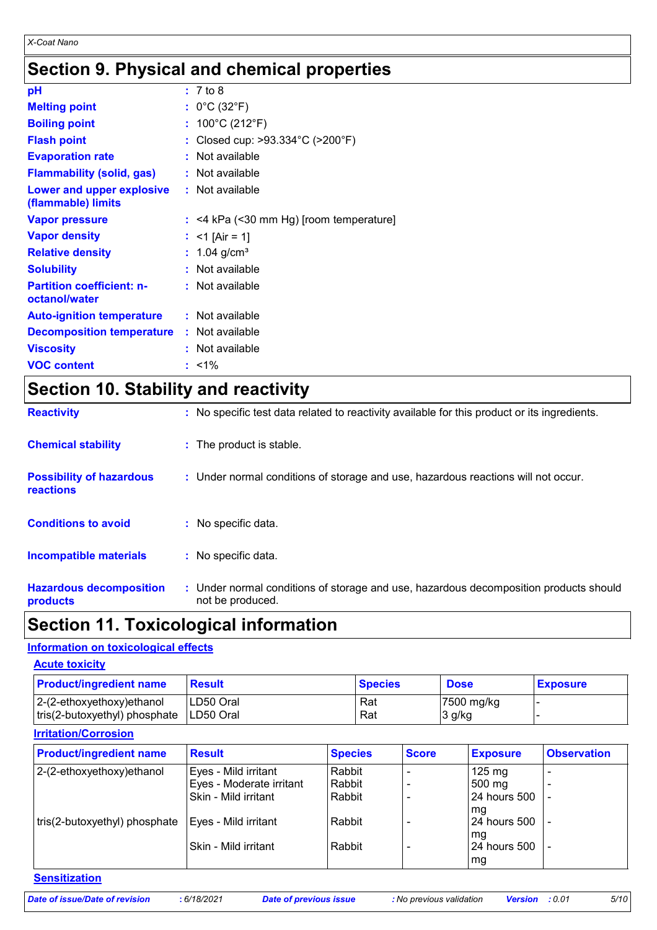# **Section 9. Physical and chemical properties**

| рH                                                |    | : 7 to 8                              |
|---------------------------------------------------|----|---------------------------------------|
| <b>Melting point</b>                              |    | : $0^{\circ}$ C (32 $^{\circ}$ F)     |
| <b>Boiling point</b>                              | t. | 100°C (212°F)                         |
| <b>Flash point</b>                                |    | Closed cup: >93.334°C (>200°F)        |
| <b>Evaporation rate</b>                           |    | Not available                         |
| <b>Flammability (solid, gas)</b>                  |    | Not available                         |
| Lower and upper explosive<br>(flammable) limits   |    | $:$ Not available                     |
| <b>Vapor pressure</b>                             | ÷. | <4 kPa (<30 mm Hg) [room temperature] |
| <b>Vapor density</b>                              |    | $<$ 1 [Air = 1]                       |
| <b>Relative density</b>                           |    | 1.04 $g/cm^{3}$                       |
| <b>Solubility</b>                                 |    | Not available                         |
| <b>Partition coefficient: n-</b><br>octanol/water |    | : Not available                       |
| <b>Auto-ignition temperature</b>                  |    | : Not available                       |
| <b>Decomposition temperature</b>                  |    | : Not available                       |
| <b>Viscosity</b>                                  |    | Not available                         |
| <b>VOC content</b>                                |    | $: 1\%$                               |

# **Section 10. Stability and reactivity**

| <b>Hazardous decomposition</b><br>products   | : Under normal conditions of storage and use, hazardous decomposition products should<br>not be produced. |
|----------------------------------------------|-----------------------------------------------------------------------------------------------------------|
| <b>Incompatible materials</b>                | : No specific data.                                                                                       |
| <b>Conditions to avoid</b>                   | : No specific data.                                                                                       |
| <b>Possibility of hazardous</b><br>reactions | : Under normal conditions of storage and use, hazardous reactions will not occur.                         |
| <b>Chemical stability</b>                    | : The product is stable.                                                                                  |
| <b>Reactivity</b>                            | : No specific test data related to reactivity available for this product or its ingredients.              |

### **Section 11. Toxicological information**

### **Information on toxicological effects**

| <b>Acute toxicity</b>                                          |                         |                |                                    |                 |
|----------------------------------------------------------------|-------------------------|----------------|------------------------------------|-----------------|
| <b>Product/ingredient name</b>                                 | <b>Result</b>           | <b>Species</b> | <b>Dose</b>                        | <b>Exposure</b> |
| $ 2-(2-ethoxyethoxy)e$ thanol<br>tris(2-butoxyethyl) phosphate | LD50 Oral<br>ILD50 Oral | Rat<br>Rat     | $ 7500 \text{ mg/kg} $<br>$3$ g/kg |                 |

### **Irritation/Corrosion**

| <b>Product/ingredient name</b> | <b>Result</b>            | <b>Species</b> | <b>Score</b> | <b>Exposure</b>     | <b>Observation</b> |
|--------------------------------|--------------------------|----------------|--------------|---------------------|--------------------|
| 2-(2-ethoxyethoxy)ethanol      | Eyes - Mild irritant     | Rabbit         |              | $125 \text{ mg}$    |                    |
|                                | Eyes - Moderate irritant | Rabbit         |              | 500 mg              |                    |
|                                | Skin - Mild irritant     | Rabbit         |              | <b>24 hours 500</b> |                    |
|                                |                          |                |              | l mg                |                    |
| tris(2-butoxyethyl) phosphate  | Eyes - Mild irritant     | Rabbit         |              | 24 hours 500        |                    |
|                                |                          |                |              | mg                  |                    |
|                                | Skin - Mild irritant     | Rabbit         |              | 24 hours 500        |                    |
|                                |                          |                |              | mg                  |                    |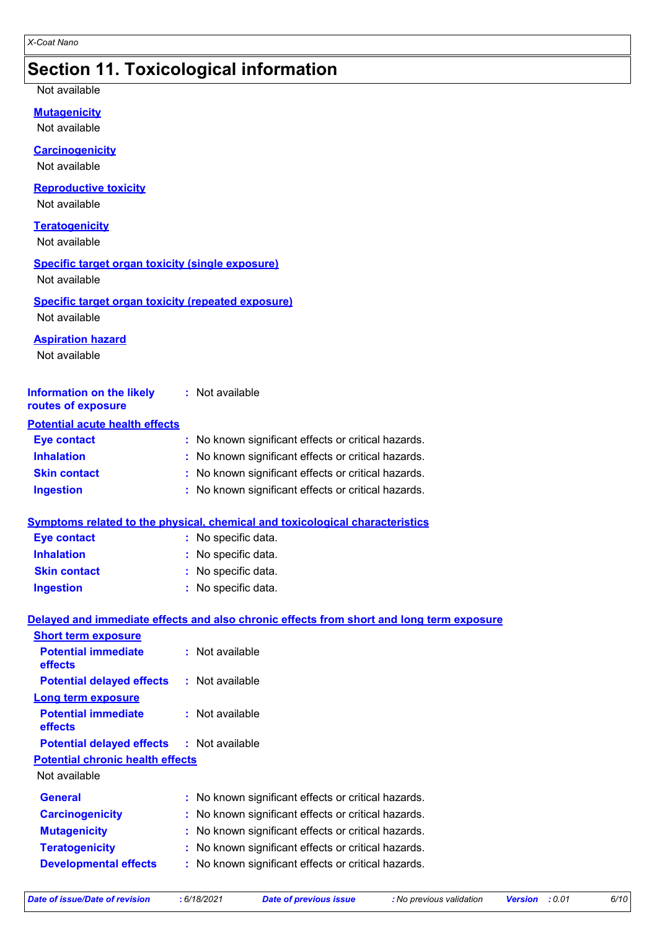### **Section 11. Toxicological information**

Not available

**Mutagenicity**

Not available

#### **Carcinogenicity**

Not available

#### **Reproductive toxicity**

Not available

#### **Teratogenicity**

Not available

### **Specific target organ toxicity (single exposure)**

Not available

#### **Specific target organ toxicity (repeated exposure)** Not available

#### **Aspiration hazard**

Not available

| <b>Information on the likely</b><br>routes of exposure | : Not available                                     |
|--------------------------------------------------------|-----------------------------------------------------|
| <b>Potential acute health effects</b>                  |                                                     |
| <b>Eye contact</b>                                     | : No known significant effects or critical hazards. |
| <b>Inhalation</b>                                      | : No known significant effects or critical hazards. |
| <b>Skin contact</b>                                    | : No known significant effects or critical hazards. |
| <b>Ingestion</b>                                       | : No known significant effects or critical hazards. |

### **Symptoms related to the physical, chemical and toxicological characteristics**

| <b>Eye contact</b>  | : No specific data. |
|---------------------|---------------------|
| <b>Inhalation</b>   | : No specific data. |
| <b>Skin contact</b> | : No specific data. |
| <b>Ingestion</b>    | : No specific data. |

### **Delayed and immediate effects and also chronic effects from short and long term exposure**

| : Not available                                     |
|-----------------------------------------------------|
| : Not available<br><b>Potential delayed effects</b> |
|                                                     |
| : Not available                                     |
| <b>Potential delayed effects : Not available</b>    |
| <b>Potential chronic health effects</b>             |
|                                                     |
| : No known significant effects or critical hazards. |
| No known significant effects or critical hazards.   |
| No known significant effects or critical hazards.   |
| No known significant effects or critical hazards.   |
| No known significant effects or critical hazards.   |
|                                                     |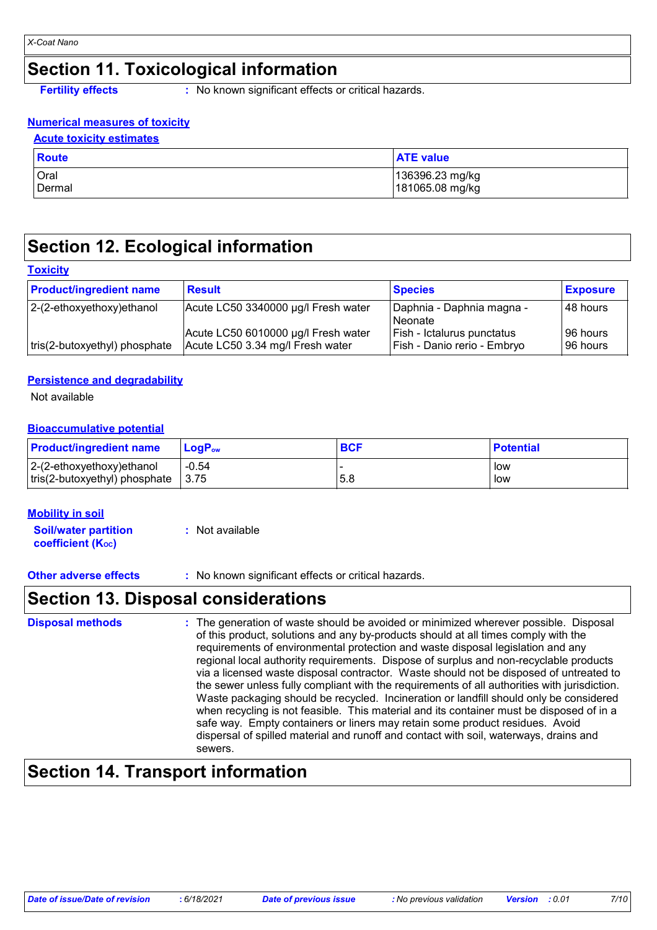# **Section 11. Toxicological information**

**Fertility effects** : No known significant effects or critical hazards.

### **Numerical measures of toxicity**

| <b>Acute toxicity estimates</b> |                                    |  |
|---------------------------------|------------------------------------|--|
| Route                           | <b>ATE value</b>                   |  |
| Oral<br>Dermal                  | 136396.23 mg/kg<br>181065.08 mg/kg |  |

### **Section 12. Ecological information**

#### **Toxicity**

| <b>Product/ingredient name</b> | <b>Result</b>                                                           | <b>Species</b>                                            | <b>Exposure</b>          |
|--------------------------------|-------------------------------------------------------------------------|-----------------------------------------------------------|--------------------------|
| $ 2-(2-ethoxyethoxy)$ ethanol  | Acute LC50 3340000 µg/l Fresh water                                     | Daphnia - Daphnia magna -<br>l Neonate                    | 48 hours                 |
| tris(2-butoxyethyl) phosphate  | Acute LC50 6010000 µg/l Fresh water<br>Acute LC50 3.34 mg/l Fresh water | Fish - Ictalurus punctatus<br>Fish - Danio rerio - Embryo | I96 hours l<br>196 hours |

### **Persistence and degradability**

Not available

### **Bioaccumulative potential**

| <b>Product/ingredient name</b>                     | <b>LogP</b> <sub>ow</sub> | <b>BCF</b> | <b>Potential</b> |
|----------------------------------------------------|---------------------------|------------|------------------|
| $ 2-(2-ethoxyethoxy)ethanol$                       | $-0.54$                   |            | low              |
| $\vert$ tris(2-butoxyethyl) phosphate $\vert$ 3.75 |                           | 5.8        | low              |

### **Mobility in soil**

**Soil/water partition coefficient (KOC) :** Not available

**Other adverse effects** : No known significant effects or critical hazards.

### **Section 13. Disposal considerations**

| <b>Disposal methods</b> | : The generation of waste should be avoided or minimized wherever possible. Disposal<br>of this product, solutions and any by-products should at all times comply with the<br>requirements of environmental protection and waste disposal legislation and any<br>regional local authority requirements. Dispose of surplus and non-recyclable products<br>via a licensed waste disposal contractor. Waste should not be disposed of untreated to<br>the sewer unless fully compliant with the requirements of all authorities with jurisdiction.<br>Waste packaging should be recycled. Incineration or landfill should only be considered<br>when recycling is not feasible. This material and its container must be disposed of in a<br>safe way. Empty containers or liners may retain some product residues. Avoid<br>dispersal of spilled material and runoff and contact with soil, waterways, drains and |
|-------------------------|-----------------------------------------------------------------------------------------------------------------------------------------------------------------------------------------------------------------------------------------------------------------------------------------------------------------------------------------------------------------------------------------------------------------------------------------------------------------------------------------------------------------------------------------------------------------------------------------------------------------------------------------------------------------------------------------------------------------------------------------------------------------------------------------------------------------------------------------------------------------------------------------------------------------|
|                         | sewers.                                                                                                                                                                                                                                                                                                                                                                                                                                                                                                                                                                                                                                                                                                                                                                                                                                                                                                         |

# **Section 14. Transport information**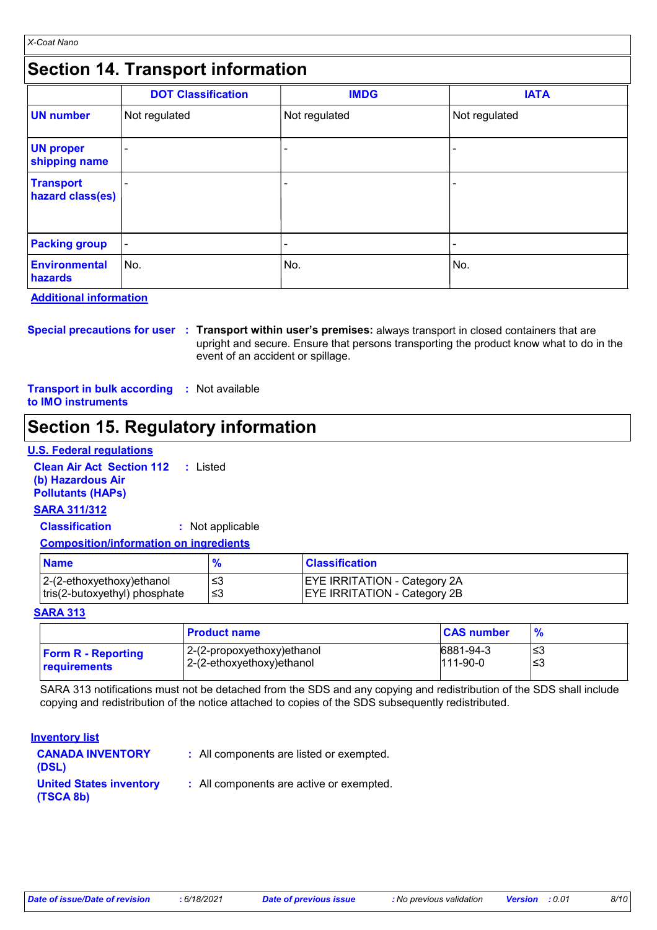### **Section 14. Transport information**

|                                      | <b>DOT Classification</b> | <b>IMDG</b>   | <b>IATA</b>   |
|--------------------------------------|---------------------------|---------------|---------------|
| <b>UN number</b>                     | Not regulated             | Not regulated | Not regulated |
| <b>UN proper</b><br>shipping name    |                           | -             |               |
| <b>Transport</b><br>hazard class(es) |                           |               |               |
| <b>Packing group</b>                 | $\blacksquare$            | -             | ۰             |
| <b>Environmental</b><br>hazards      | No.                       | No.           | No.           |

**Additional information**

**Special precautions for user Transport within user's premises:** always transport in closed containers that are **:** upright and secure. Ensure that persons transporting the product know what to do in the event of an accident or spillage.

**Transport in bulk according :** Not available **to IMO instruments**

### **Section 15. Regulatory information**

#### **U.S. Federal regulations**

**Clean Air Act Section 112 :** Listed **(b) Hazardous Air Pollutants (HAPs)**

### **SARA 311/312**

**Classification :** Not applicable

#### **Composition/information on ingredients**

| <b>Name</b>                                                    |      | <b>Classification</b>                                                      |
|----------------------------------------------------------------|------|----------------------------------------------------------------------------|
| $ 2-(2-ethoxyethoxy)$ ethanol<br>tris(2-butoxyethyl) phosphate | ! ≤3 | <b>EYE IRRITATION - Category 2A</b><br><b>EYE IRRITATION - Category 2B</b> |

#### **SARA 313**

|                           | <b>Product name</b>         | <b>CAS number</b> | $\frac{9}{6}$ |
|---------------------------|-----------------------------|-------------------|---------------|
| <b>Form R - Reporting</b> | 12-(2-propoxyethoxy)ethanol | 6881-94-3         | '≤3           |
| <b>requirements</b>       | 2-(2-ethoxyethoxy)ethanol   | $111-90-0$        | ∣≤3           |

SARA 313 notifications must not be detached from the SDS and any copying and redistribution of the SDS shall include copying and redistribution of the notice attached to copies of the SDS subsequently redistributed.

#### **Inventory list**

| <b>CANADA INVENTORY</b><br>(DSL)            | : All components are listed or exempted. |
|---------------------------------------------|------------------------------------------|
| <b>United States inventory</b><br>(TSCA 8b) | : All components are active or exempted. |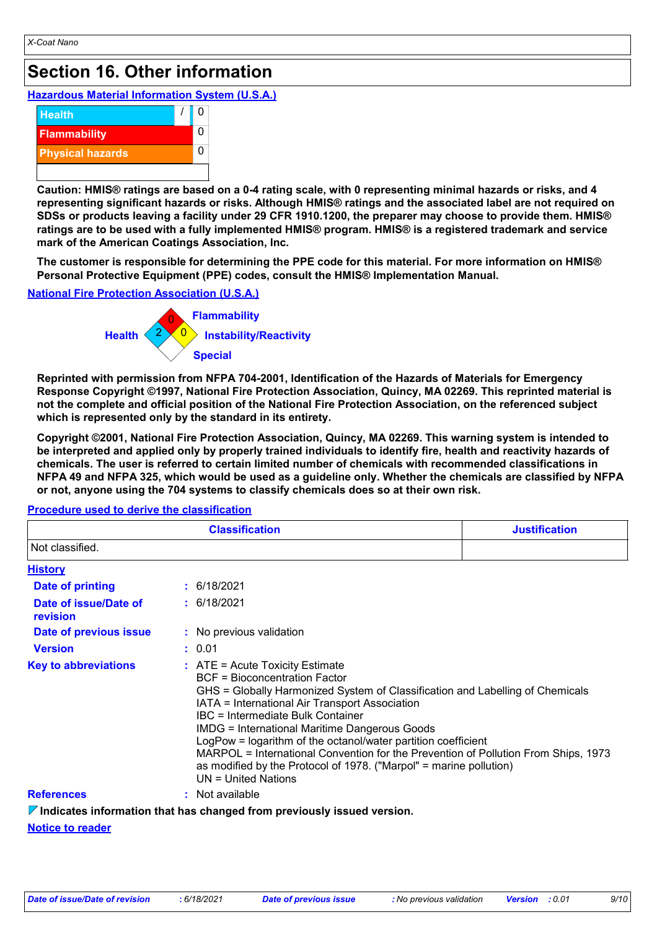# **Section 16. Other information**

### **Hazardous Material Information System (U.S.A.)**



**Caution: HMIS® ratings are based on a 0-4 rating scale, with 0 representing minimal hazards or risks, and 4 representing significant hazards or risks. Although HMIS® ratings and the associated label are not required on SDSs or products leaving a facility under 29 CFR 1910.1200, the preparer may choose to provide them. HMIS® ratings are to be used with a fully implemented HMIS® program. HMIS® is a registered trademark and service mark of the American Coatings Association, Inc.**

**The customer is responsible for determining the PPE code for this material. For more information on HMIS® Personal Protective Equipment (PPE) codes, consult the HMIS® Implementation Manual.**

### **National Fire Protection Association (U.S.A.)**



**Reprinted with permission from NFPA 704-2001, Identification of the Hazards of Materials for Emergency Response Copyright ©1997, National Fire Protection Association, Quincy, MA 02269. This reprinted material is not the complete and official position of the National Fire Protection Association, on the referenced subject which is represented only by the standard in its entirety.**

**Copyright ©2001, National Fire Protection Association, Quincy, MA 02269. This warning system is intended to be interpreted and applied only by properly trained individuals to identify fire, health and reactivity hazards of chemicals. The user is referred to certain limited number of chemicals with recommended classifications in NFPA 49 and NFPA 325, which would be used as a guideline only. Whether the chemicals are classified by NFPA or not, anyone using the 704 systems to classify chemicals does so at their own risk.**

| <b>Classification</b>             |                                                                                                                                                                                                                                                                                                                                                                                                                                                                                                                                                                   | <b>Justification</b> |
|-----------------------------------|-------------------------------------------------------------------------------------------------------------------------------------------------------------------------------------------------------------------------------------------------------------------------------------------------------------------------------------------------------------------------------------------------------------------------------------------------------------------------------------------------------------------------------------------------------------------|----------------------|
| Not classified.                   |                                                                                                                                                                                                                                                                                                                                                                                                                                                                                                                                                                   |                      |
| <b>History</b>                    |                                                                                                                                                                                                                                                                                                                                                                                                                                                                                                                                                                   |                      |
| <b>Date of printing</b>           | : 6/18/2021                                                                                                                                                                                                                                                                                                                                                                                                                                                                                                                                                       |                      |
| Date of issue/Date of<br>revision | : 6/18/2021                                                                                                                                                                                                                                                                                                                                                                                                                                                                                                                                                       |                      |
| Date of previous issue            | : No previous validation                                                                                                                                                                                                                                                                                                                                                                                                                                                                                                                                          |                      |
| <b>Version</b>                    | : 0.01                                                                                                                                                                                                                                                                                                                                                                                                                                                                                                                                                            |                      |
| <b>Key to abbreviations</b>       | $\therefore$ ATE = Acute Toxicity Estimate<br>BCF = Bioconcentration Factor<br>GHS = Globally Harmonized System of Classification and Labelling of Chemicals<br>IATA = International Air Transport Association<br>IBC = Intermediate Bulk Container<br><b>IMDG</b> = International Maritime Dangerous Goods<br>LogPow = logarithm of the octanol/water partition coefficient<br>MARPOL = International Convention for the Prevention of Pollution From Ships, 1973<br>as modified by the Protocol of 1978. ("Marpol" = marine pollution)<br>$UN = United Nations$ |                      |
| <b>References</b>                 | : Not available                                                                                                                                                                                                                                                                                                                                                                                                                                                                                                                                                   |                      |
|                                   | $\nabla$ Indicates information that has changed from previously issued version.                                                                                                                                                                                                                                                                                                                                                                                                                                                                                   |                      |

#### **Procedure used to derive the classification**

**Indicates information that has changed from previously issued version.**

#### **Notice to reader**